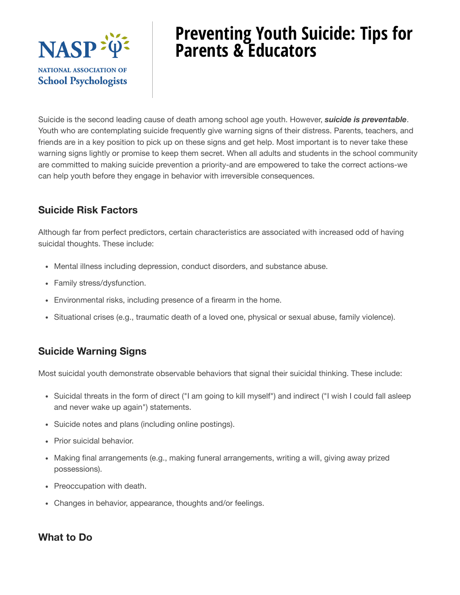

# **Preventing Youth Suicide: Tips for Parents & Educators**

Suicide is the second leading cause of death among school age youth. However, *suicide is preventable*. Youth who are contemplating suicide frequently give warning signs of their distress. Parents, teachers, and friends are in a key position to pick up on these signs and get help. Most important is to never take these warning signs lightly or promise to keep them secret. When all adults and students in the school community are committed to making suicide prevention a priority-and are empowered to take the correct actions-we can help youth before they engage in behavior with irreversible consequences.

# **Suicide Risk Factors**

Although far from perfect predictors, certain characteristics are associated with increased odd of having suicidal thoughts. These include:

- Mental illness including depression, conduct disorders, and substance abuse.
- Family stress/dysfunction.
- Environmental risks, including presence of a firearm in the home.
- Situational crises (e.g., traumatic death of a loved one, physical or sexual abuse, family violence).

# **Suicide Warning Signs**

Most suicidal youth demonstrate observable behaviors that signal their suicidal thinking. These include:

- Suicidal threats in the form of direct ("I am going to kill myself") and indirect ("I wish I could fall asleep and never wake up again") statements.
- Suicide notes and plans (including online postings).
- Prior suicidal behavior.
- Making final arrangements (e.g., making funeral arrangements, writing a will, giving away prized possessions).
- Preoccupation with death.
- Changes in behavior, appearance, thoughts and/or feelings.

# **What to Do**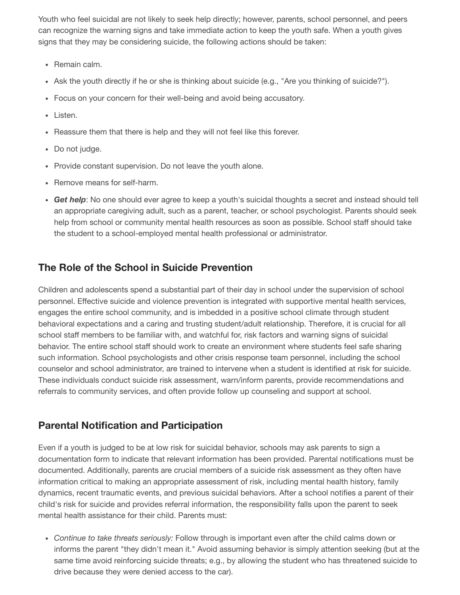Youth who feel suicidal are not likely to seek help directly; however, parents, school personnel, and peers can recognize the warning signs and take immediate action to keep the youth safe. When a youth gives signs that they may be considering suicide, the following actions should be taken:

- Remain calm.
- Ask the youth directly if he or she is thinking about suicide (e.g., "Are you thinking of suicide?").
- Focus on your concern for their well-being and avoid being accusatory.
- Listen.
- Reassure them that there is help and they will not feel like this forever.
- Do not judge.
- Provide constant supervision. Do not leave the youth alone.
- Remove means for self-harm.
- *Get help*: No one should ever agree to keep a youth's suicidal thoughts a secret and instead should tell an appropriate caregiving adult, such as a parent, teacher, or school psychologist. Parents should seek help from school or community mental health resources as soon as possible. School staff should take the student to a school-employed mental health professional or administrator.

### **The Role of the School in Suicide Prevention**

Children and adolescents spend a substantial part of their day in school under the supervision of school personnel. Effective suicide and violence prevention is integrated with supportive mental health services, engages the entire school community, and is imbedded in a positive school climate through student behavioral expectations and a caring and trusting student/adult relationship. Therefore, it is crucial for all school staff members to be familiar with, and watchful for, risk factors and warning signs of suicidal behavior. The entire school staff should work to create an environment where students feel safe sharing such information. School psychologists and other crisis response team personnel, including the school counselor and school administrator, are trained to intervene when a student is identified at risk for suicide. These individuals conduct suicide risk assessment, warn/inform parents, provide recommendations and referrals to community services, and often provide follow up counseling and support at school.

#### **Parental Notification and Participation**

Even if a youth is judged to be at low risk for suicidal behavior, schools may ask parents to sign a documentation form to indicate that relevant information has been provided. Parental notifications must be documented. Additionally, parents are crucial members of a suicide risk assessment as they often have information critical to making an appropriate assessment of risk, including mental health history, family dynamics, recent traumatic events, and previous suicidal behaviors. After a school notifies a parent of their child's risk for suicide and provides referral information, the responsibility falls upon the parent to seek mental health assistance for their child. Parents must:

*Continue to take threats seriously:* Follow through is important even after the child calms down or informs the parent "they didn't mean it." Avoid assuming behavior is simply attention seeking (but at the same time avoid reinforcing suicide threats; e.g., by allowing the student who has threatened suicide to drive because they were denied access to the car).